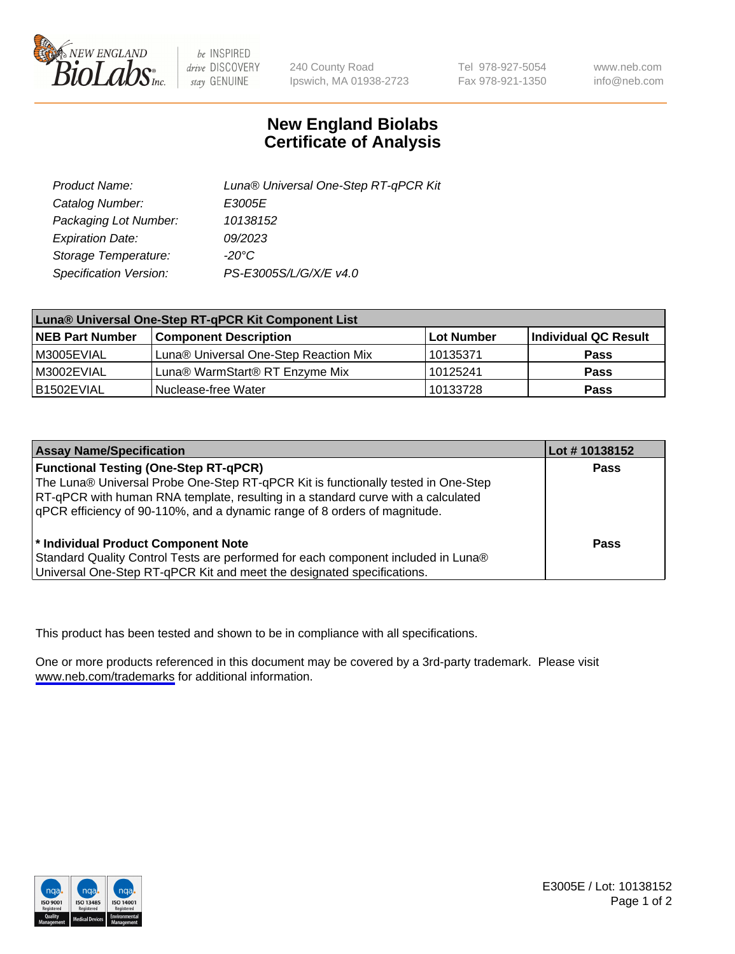

be INSPIRED drive DISCOVERY stay GENUINE

240 County Road Ipswich, MA 01938-2723 Tel 978-927-5054 Fax 978-921-1350

www.neb.com info@neb.com

## **New England Biolabs Certificate of Analysis**

| Product Name:           | Luna® Universal One-Step RT-qPCR Kit |
|-------------------------|--------------------------------------|
| Catalog Number:         | E3005E                               |
| Packaging Lot Number:   | 10138152                             |
| <b>Expiration Date:</b> | 09/2023                              |
| Storage Temperature:    | $-20^{\circ}$ C                      |
| Specification Version:  | PS-E3005S/L/G/X/E v4.0               |

| Luna® Universal One-Step RT-qPCR Kit Component List |                                       |            |                      |  |
|-----------------------------------------------------|---------------------------------------|------------|----------------------|--|
| <b>NEB Part Number</b>                              | <b>Component Description</b>          | Lot Number | Individual QC Result |  |
| IM3005EVIAL                                         | Luna® Universal One-Step Reaction Mix | 10135371   | Pass                 |  |
| M3002EVIAL                                          | Luna® WarmStart® RT Enzyme Mix        | 10125241   | <b>Pass</b>          |  |
| B1502EVIAL                                          | Nuclease-free Water                   | 10133728   | <b>Pass</b>          |  |

| <b>Assay Name/Specification</b>                                                   | Lot # 10138152 |
|-----------------------------------------------------------------------------------|----------------|
| <b>Functional Testing (One-Step RT-qPCR)</b>                                      | <b>Pass</b>    |
| The Luna® Universal Probe One-Step RT-qPCR Kit is functionally tested in One-Step |                |
| RT-qPCR with human RNA template, resulting in a standard curve with a calculated  |                |
| gPCR efficiency of 90-110%, and a dynamic range of 8 orders of magnitude.         |                |
|                                                                                   |                |
| <sup>*</sup> Individual Product Component Note                                    | Pass           |
| Standard Quality Control Tests are performed for each component included in Luna® |                |
| Universal One-Step RT-qPCR Kit and meet the designated specifications.            |                |

This product has been tested and shown to be in compliance with all specifications.

One or more products referenced in this document may be covered by a 3rd-party trademark. Please visit <www.neb.com/trademarks>for additional information.